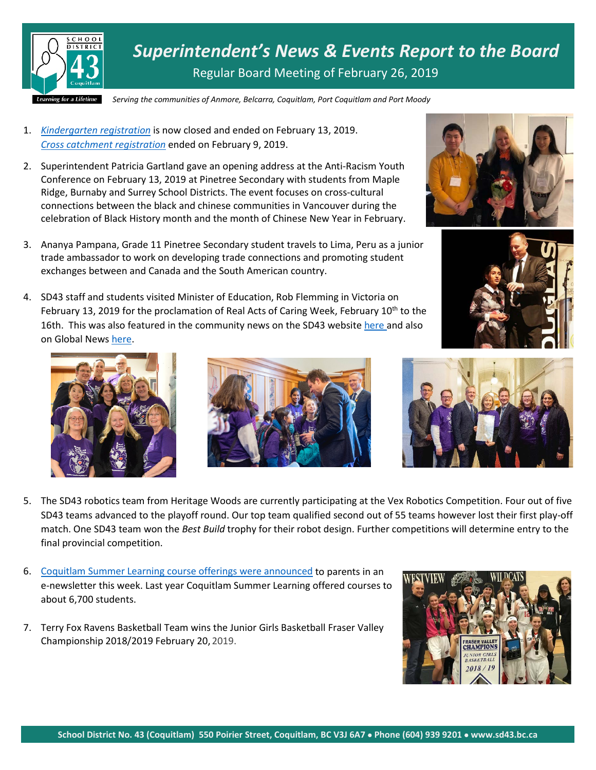

*Superintendent's News & Events Report to the Board* Regular Board Meeting of February 26, 2019

*Serving the communities of Anmore, Belcarra, Coquitlam, Port Coquitlam and Port Moody*

- 1. *[Kindergarten registration](https://www.sd43.bc.ca/Schools/Pages/KindergartenRegistration.aspx)* is now closed and ended on February 13, 2019. *[Cross catchment](https://www.sd43.bc.ca/Schools/Pages/CrossCatchment.aspx) registration* ended on February 9, 2019.
- 2. Superintendent Patricia Gartland gave an opening address at the Anti-Racism Youth Conference on February 13, 2019 at Pinetree Secondary with students from Maple Ridge, Burnaby and Surrey School Districts. The event focuses on cross-cultural connections between the black and chinese communities in Vancouver during the celebration of Black History month and the month of Chinese New Year in February.
- 3. Ananya Pampana, Grade 11 Pinetree Secondary student travels to Lima, Peru as a junior trade ambassador to work on developing trade connections and promoting student exchanges between and Canada and the South American country.
- 4. SD43 staff and students visited Minister of Education, Rob Flemming in Victoria on February 13, 2019 for the proclamation of Real Acts of Caring Week, February  $10^{th}$  to the 16th. This was also featured in the community news on the SD43 website [here](https://www.sd43.bc.ca/Pages/newsitem.aspx?ItemID=201&ListID=c4134e88-bc0d-484f-9d4d-93c69db7f94f&TemplateID=Announcement_Item) and also on Global New[s here.](https://globalnews.ca/video/4954974/summerland-teens-spread-real-acts-of-caring)











- 5. The SD43 robotics team from Heritage Woods are currently participating at the Vex Robotics Competition. Four out of five SD43 teams advanced to the playoff round. Our top team qualified second out of 55 teams however lost their first play-off match. One SD43 team won the *Best Build* trophy for their robot design. Further competitions will determine entry to the final provincial competition.
- 6. Coquitlam Summer Learning [course offerings were announced](file://099-V02-001/Staff/kdelrosario/CSMA/Social%20Media/Summer%20Learning%20newsletter%20ad%201.jpg) to parents in an e-newsletter this week. Last year Coquitlam Summer Learning offered courses to about 6,700 students.
- 7. Terry Fox Ravens Basketball Team wins the Junior Girls Basketball Fraser Valley Championship 2018/2019 February 20, 2019.

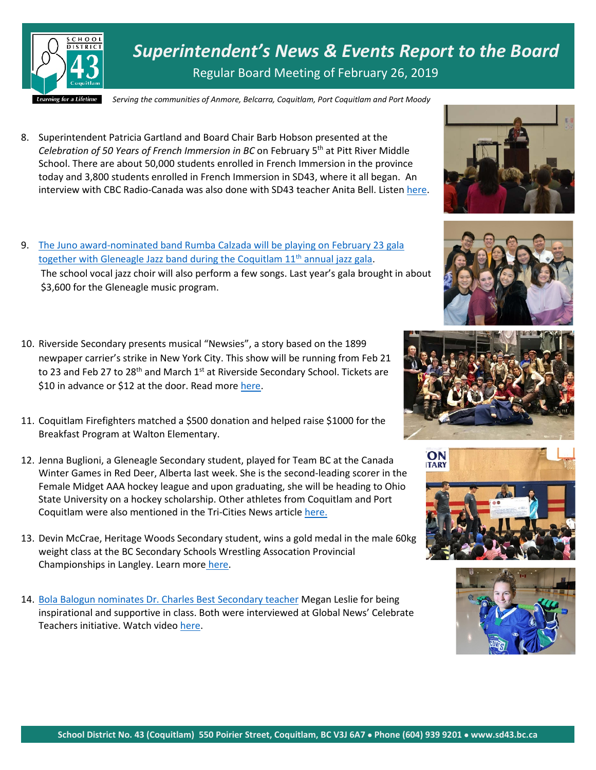

*Superintendent's News & Events Report to the Board* Regular Board Meeting of February 26, 2019

*Serving the communities of Anmore, Belcarra, Coquitlam, Port Coquitlam and Port Moody*

8. Superintendent Patricia Gartland and Board Chair Barb Hobson presented at the *Celebration of 50 Years of French Immersion in BC* on February 5th at Pitt River Middle School. There are about 50,000 students enrolled in French Immersion in the province today and 3,800 students enrolled in French Immersion in SD43, where it all began. An interview with CBC Radio-Canada was also done with SD43 teacher Anita Bell. Listen [here.](https://ici.radio-canada.ca/premiere/emissions/boulevard-du-pacifique/segments/entrevue/104956/anita-bell-immersion-francaise-vancouver-celebrations)











9. [The Juno award-nominated band Rumba Calzada will be playing on February 23 gala](https://www.tricitynews.com/entertainment/juno-nominated-band-at-gleneagle-music-gala-1.23631605)  [together with Gleneagle Jazz band during the](https://www.tricitynews.com/entertainment/juno-nominated-band-at-gleneagle-music-gala-1.23631605) Coquitlam 11<sup>th</sup> annual jazz gala. The school vocal jazz choir will also perform a few songs. Last year's gala brought in about \$3,600 for the Gleneagle music program.

- 10. Riverside Secondary presents musical "Newsies", a story based on the 1899 newpaper carrier's strike in New York City. This show will be running from Feb 21 to 23 and Feb 27 to 28<sup>th</sup> and March 1<sup>st</sup> at Riverside Secondary School. Tickets are \$10 in advance or \$12 at the door. Read more [here.](https://www.tricitynews.com/entertainment/extra-extra-newsies-at-port-coquitlam-school-1.23638641)
- 11. Coquitlam Firefighters matched a \$500 donation and helped raise \$1000 for the Breakfast Program at Walton Elementary.
- 12. Jenna Buglioni, a Gleneagle Secondary student, played for Team BC at the Canada Winter Games in Red Deer, Alberta last week. She is the second-leading scorer in the Female Midget AAA hockey league and upon graduating, she will be heading to Ohio State University on a hockey scholarship. Other athletes from Coquitlam and Port Coquitlam were also mentioned in the Tri-Cities News article [here.](https://www.tricitynews.com/sports/pomo-hockey-player-other-local-athletes-headed-to-canada-winter-games-1.23624454)
- 13. Devin McCrae, Heritage Woods Secondary student, wins a gold medal in the male 60kg weight class at the BC Secondary Schools Wrestling Assocation Provincial Championships in Langley. Learn more [here.](https://www.tricitynews.com/sports/heritage-woods-wrestler-brings-home-gold-1.23639637)
- 14. [Bola Balogun nominates Dr. Charles Best Secondary teacher](https://twitter.com/bctf/status/1099001775766433792) Megan Leslie for being inspirational and supportive in class. Both were interviewed at Global News' Celebrate Teachers initiative. Watch video [here.](https://twitter.com/bctf/status/1099001775766433792)